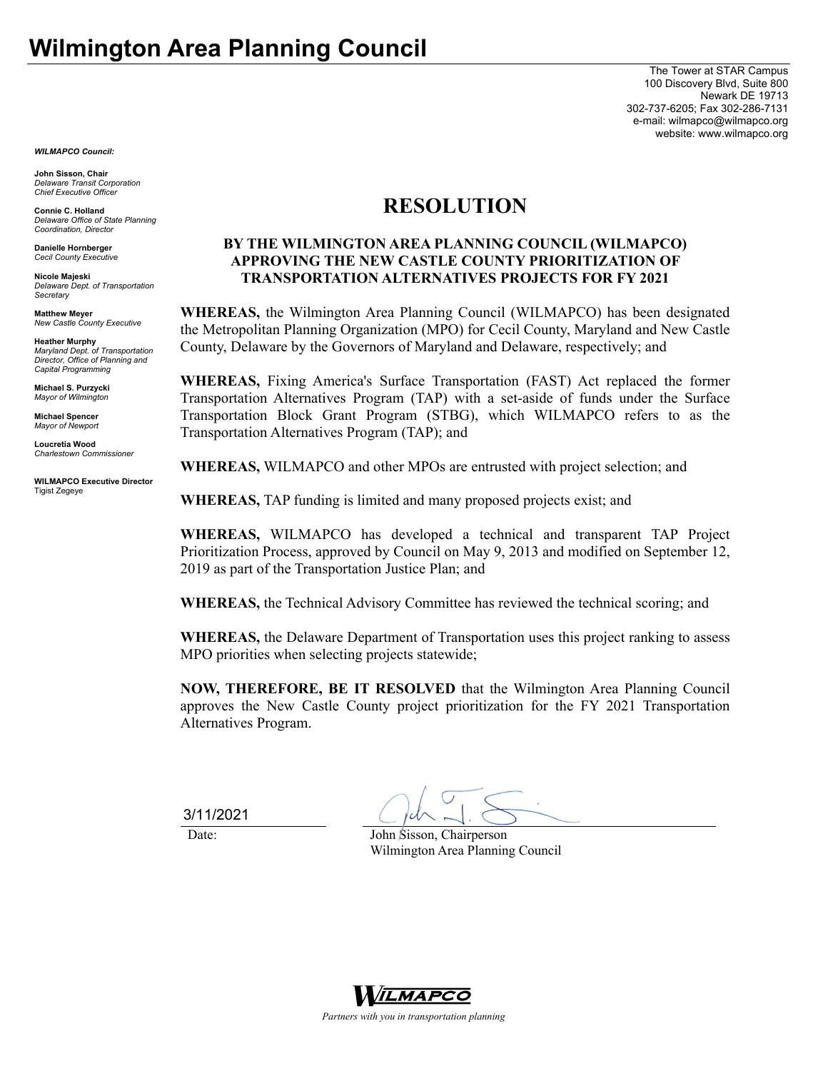# **Wilmington Area Planning Council**

The Tower at STAR Campus 100 Discovery Blvd, Suite 800 Newark DE 19713 302-737-6205; Fax 302-286-7131 e-mail: wilmapco@wilmapco.org website: www.wilmapco.org

*WILMAPCO Council:*

**John Sisson, Chair**  *Delaware Transit Corporation Chief Executive Officer*

**Connie C. Holland**  *Delaware Office of State Planning Coordination, Director*

**Danielle Hornberger** *Cecil County Executive* 

**Nicole Majeski**  *Delaware Dept. of Transportation Secretary*

**Matthew Meyer**  *New Castle County Executive* 

**Heather Murphy**  *Maryland Dept. of Transportation Director, Office of Planning and Capital Programming* 

**Michael S. Purzycki**  *Mayor of Wilmington*

**Michael Spencer**  *Mayor of Newport* 

**Loucretia Wood**  *Charlestown Commissioner* 

**WILMAPCO Executive Director**  Tigist Zegeye

## **RESOLUTION**

#### **BY THE WILMINGTON AREA PLANNING COUNCIL (WILMAPCO) APPROVING THE NEW CASTLE COUNTY PRIORITIZATION OF TRANSPORTATION ALTERNATIVES PROJECTS FOR FY 2021**

**WHEREAS,** the Wilmington Area Planning Council (WILMAPCO) has been designated the Metropolitan Planning Organization (MPO) for Cecil County, Maryland and New Castle County, Delaware by the Governors of Maryland and Delaware, respectively; and

**WHEREAS,** Fixing America's Surface Transportation (FAST) Act replaced the former Transportation Alternatives Program (TAP) with a set-aside of funds under the Surface Transportation Block Grant Program (STBG), which WILMAPCO refers to as the Transportation Alternatives Program (TAP); and

**WHEREAS,** WILMAPCO and other MPOs are entrusted with project selection; and

**WHEREAS,** TAP funding is limited and many proposed projects exist; and

**WHEREAS,** WILMAPCO has developed a technical and transparent TAP Project Prioritization Process, approved by Council on May 9, 2013 and modified on September 12, 2019 as part of the Transportation Justice Plan; and

**WHEREAS,** the Technical Advisory Committee has reviewed the technical scoring; and

**WHEREAS,** the Delaware Department of Transportation uses this project ranking to assess MPO priorities when selecting projects statewide;

**NOW, THEREFORE, BE IT RESOLVED** that the Wilmington Area Planning Council approves the New Castle County project prioritization for the FY 2021 Transportation Alternatives Program.

3/11/2021

Date: John Sisson, Chairperson Wilmington Area Planning Council



*Partners with you in transportation planning*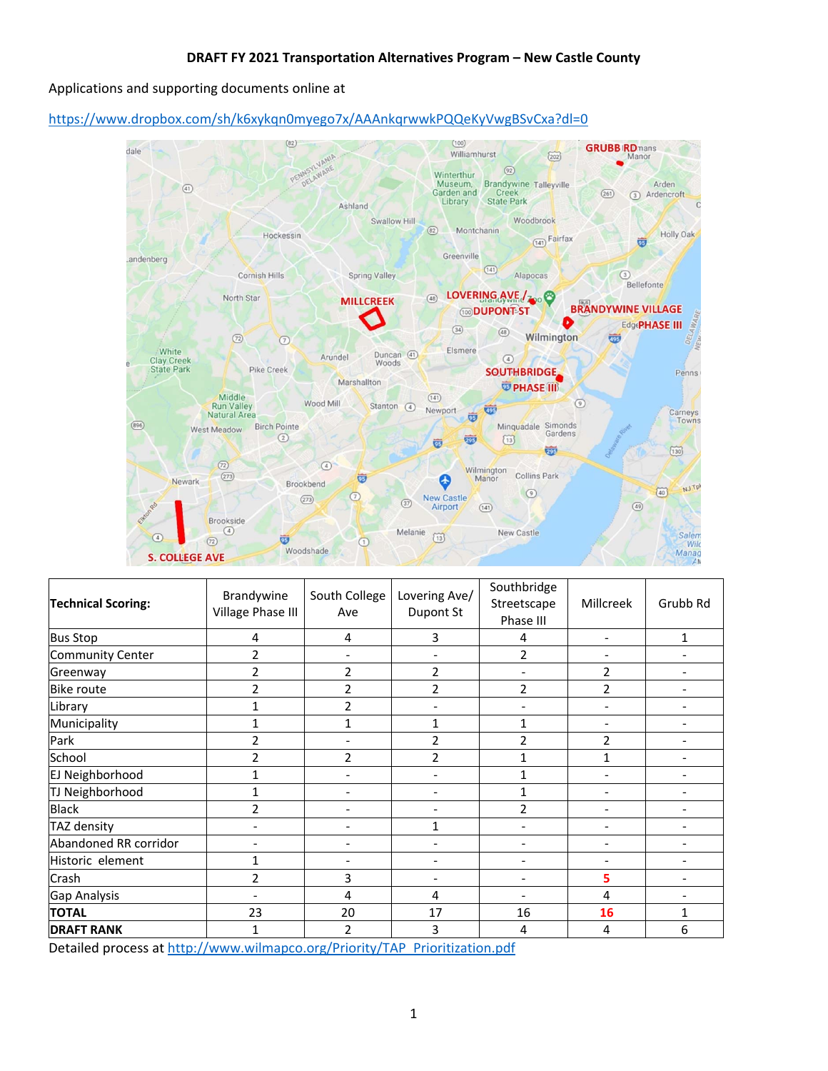#### **DRAFT FY 2021 Transportation Alternatives Program – New Castle County**

Applications and supporting documents online at

### https://www.dropbox.com/sh/k6xykqn0myego7x/AAAnkqrwwkPQQeKyVwgBSvCxa?dl=0



| <b>Technical Scoring:</b> | Brandywine<br>Village Phase III | South College<br>Ave                                                            | Lovering Ave/<br>Dupont St                                                                                                                                                                                                         | Southbridge<br>Streetscape<br>Phase III | Millcreek | Grubb Rd     |
|---------------------------|---------------------------------|---------------------------------------------------------------------------------|------------------------------------------------------------------------------------------------------------------------------------------------------------------------------------------------------------------------------------|-----------------------------------------|-----------|--------------|
| <b>Bus Stop</b>           | 4                               | 4                                                                               | 3                                                                                                                                                                                                                                  | 4                                       |           | $\mathbf{1}$ |
| <b>Community Center</b>   | 2                               |                                                                                 |                                                                                                                                                                                                                                    | 2                                       |           |              |
| Greenway                  | 2                               | 2                                                                               | 2                                                                                                                                                                                                                                  |                                         | 2         |              |
| <b>Bike route</b>         | 2                               | 2                                                                               | $\overline{\mathcal{L}}$                                                                                                                                                                                                           | $\overline{2}$                          | 2         |              |
| Library                   |                                 | 2                                                                               |                                                                                                                                                                                                                                    |                                         |           |              |
| Municipality              |                                 | 1                                                                               | 1                                                                                                                                                                                                                                  | 1                                       |           |              |
| Park                      |                                 |                                                                                 | 2                                                                                                                                                                                                                                  | 2                                       | 2         |              |
| School                    | 2                               | $\overline{2}$                                                                  | $\overline{2}$                                                                                                                                                                                                                     | 1                                       | 1         |              |
| EJ Neighborhood           | 1                               |                                                                                 |                                                                                                                                                                                                                                    | 1                                       |           |              |
| TJ Neighborhood           | 1                               |                                                                                 |                                                                                                                                                                                                                                    | 1                                       |           |              |
| <b>Black</b>              | 2                               |                                                                                 |                                                                                                                                                                                                                                    | $\overline{2}$                          |           |              |
| TAZ density               |                                 |                                                                                 | 1                                                                                                                                                                                                                                  |                                         |           |              |
| Abandoned RR corridor     |                                 |                                                                                 |                                                                                                                                                                                                                                    |                                         |           |              |
| Historic element          | 1                               |                                                                                 |                                                                                                                                                                                                                                    |                                         |           |              |
| Crash                     | 2                               | 3                                                                               |                                                                                                                                                                                                                                    |                                         | 5         |              |
| <b>Gap Analysis</b>       |                                 | 4                                                                               | 4                                                                                                                                                                                                                                  |                                         | 4         |              |
| <b>TOTAL</b>              | 23                              | 20                                                                              | 17                                                                                                                                                                                                                                 | 16                                      | 16        | 1            |
| <b>DRAFT RANK</b>         | 1<br>$\sim$                     | $\overline{2}$<br>$\mathbf{I} = \mathbf{I} \times \mathbf{I} \times \mathbf{I}$ | 3<br>the company of the company of the company of the company of the company of the company of the company of the company of the company of the company of the company of the company of the company of the company of the company | 4<br><b>Section</b>                     | 4         | 6            |

Detailed process at http://www.wilmapco.org/Priority/TAP\_Prioritization.pdf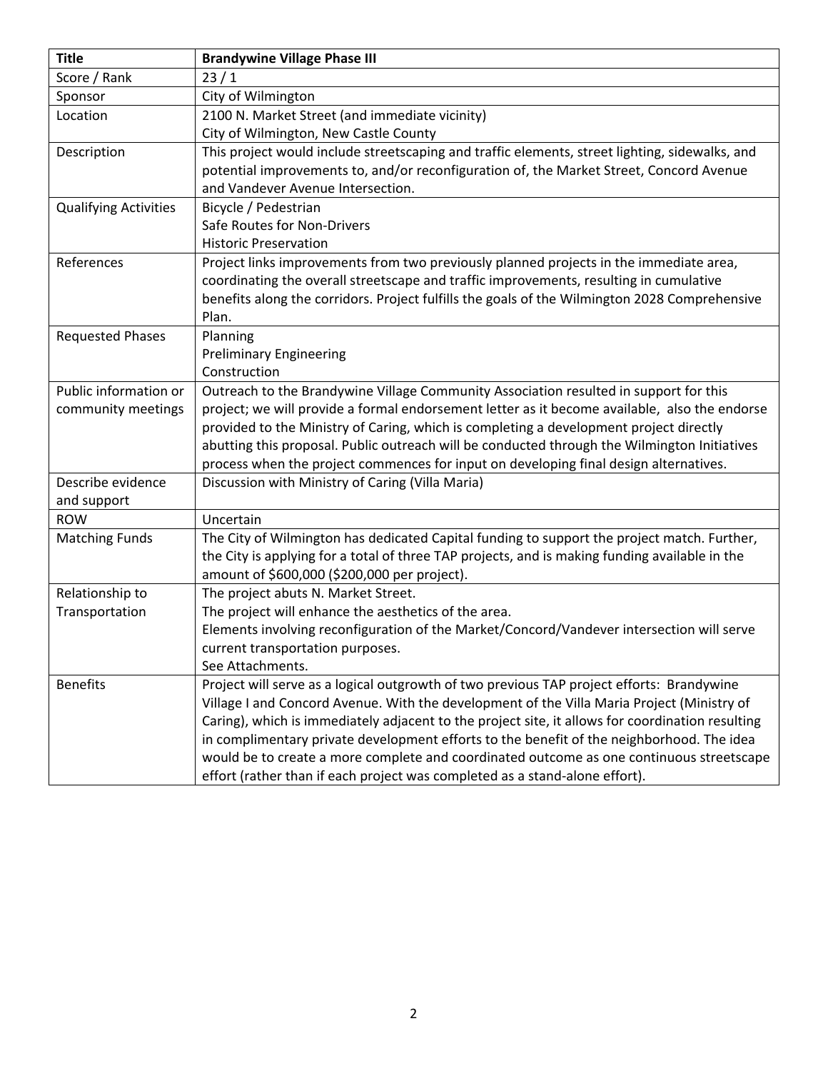| <b>Title</b>                 | <b>Brandywine Village Phase III</b>                                                              |
|------------------------------|--------------------------------------------------------------------------------------------------|
| Score / Rank                 | 23/1                                                                                             |
| Sponsor                      | City of Wilmington                                                                               |
| Location                     | 2100 N. Market Street (and immediate vicinity)                                                   |
|                              | City of Wilmington, New Castle County                                                            |
| Description                  | This project would include streetscaping and traffic elements, street lighting, sidewalks, and   |
|                              | potential improvements to, and/or reconfiguration of, the Market Street, Concord Avenue          |
|                              | and Vandever Avenue Intersection.                                                                |
| <b>Qualifying Activities</b> | Bicycle / Pedestrian                                                                             |
|                              | Safe Routes for Non-Drivers                                                                      |
|                              | <b>Historic Preservation</b>                                                                     |
| References                   | Project links improvements from two previously planned projects in the immediate area,           |
|                              | coordinating the overall streetscape and traffic improvements, resulting in cumulative           |
|                              | benefits along the corridors. Project fulfills the goals of the Wilmington 2028 Comprehensive    |
|                              | Plan.                                                                                            |
| <b>Requested Phases</b>      | Planning                                                                                         |
|                              | <b>Preliminary Engineering</b>                                                                   |
|                              | Construction                                                                                     |
| Public information or        | Outreach to the Brandywine Village Community Association resulted in support for this            |
| community meetings           | project; we will provide a formal endorsement letter as it become available, also the endorse    |
|                              | provided to the Ministry of Caring, which is completing a development project directly           |
|                              | abutting this proposal. Public outreach will be conducted through the Wilmington Initiatives     |
|                              | process when the project commences for input on developing final design alternatives.            |
| Describe evidence            | Discussion with Ministry of Caring (Villa Maria)                                                 |
| and support                  |                                                                                                  |
| <b>ROW</b>                   | Uncertain                                                                                        |
| <b>Matching Funds</b>        | The City of Wilmington has dedicated Capital funding to support the project match. Further,      |
|                              | the City is applying for a total of three TAP projects, and is making funding available in the   |
|                              | amount of \$600,000 (\$200,000 per project).                                                     |
| Relationship to              | The project abuts N. Market Street.                                                              |
| Transportation               | The project will enhance the aesthetics of the area.                                             |
|                              | Elements involving reconfiguration of the Market/Concord/Vandever intersection will serve        |
|                              | current transportation purposes.                                                                 |
|                              | See Attachments.                                                                                 |
| <b>Benefits</b>              | Project will serve as a logical outgrowth of two previous TAP project efforts: Brandywine        |
|                              | Village I and Concord Avenue. With the development of the Villa Maria Project (Ministry of       |
|                              | Caring), which is immediately adjacent to the project site, it allows for coordination resulting |
|                              | in complimentary private development efforts to the benefit of the neighborhood. The idea        |
|                              | would be to create a more complete and coordinated outcome as one continuous streetscape         |
|                              | effort (rather than if each project was completed as a stand-alone effort).                      |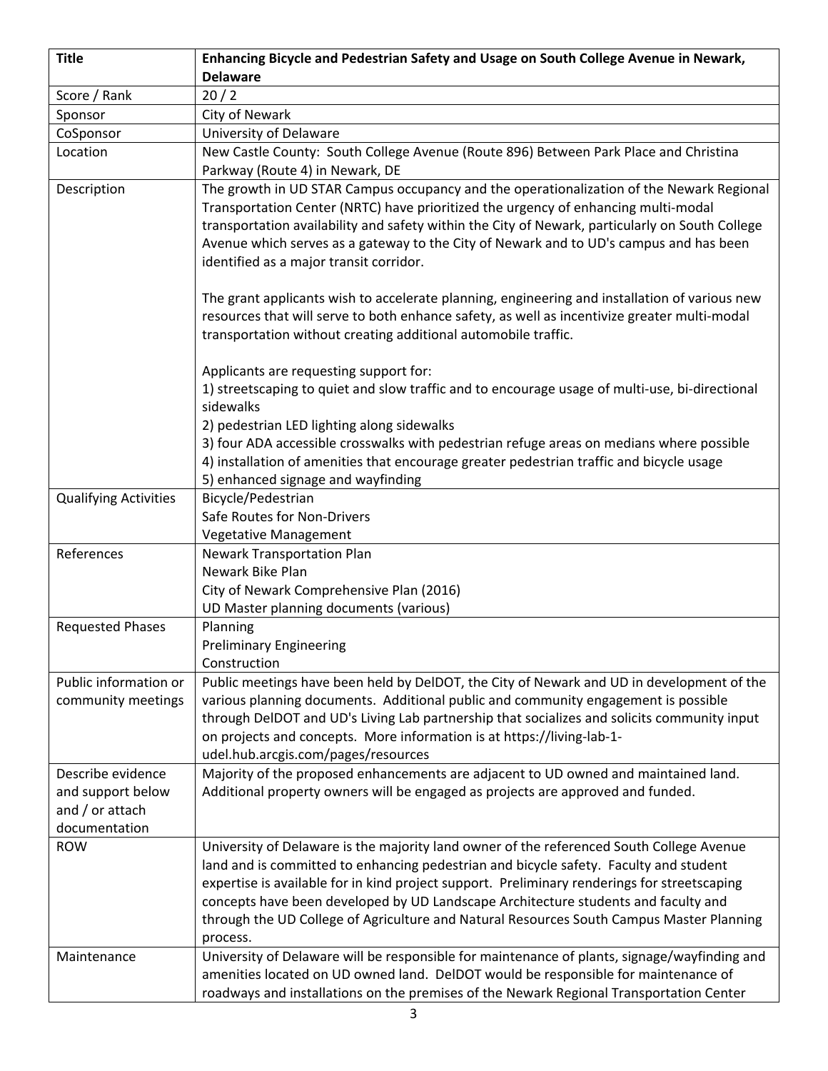| <b>Title</b>                                | Enhancing Bicycle and Pedestrian Safety and Usage on South College Avenue in Newark,                                                                                                                                                                                                                                                                                                                                                                                            |
|---------------------------------------------|---------------------------------------------------------------------------------------------------------------------------------------------------------------------------------------------------------------------------------------------------------------------------------------------------------------------------------------------------------------------------------------------------------------------------------------------------------------------------------|
|                                             | <b>Delaware</b>                                                                                                                                                                                                                                                                                                                                                                                                                                                                 |
| Score / Rank                                | 20/2                                                                                                                                                                                                                                                                                                                                                                                                                                                                            |
| Sponsor                                     | City of Newark                                                                                                                                                                                                                                                                                                                                                                                                                                                                  |
| CoSponsor                                   | University of Delaware                                                                                                                                                                                                                                                                                                                                                                                                                                                          |
| Location                                    | New Castle County: South College Avenue (Route 896) Between Park Place and Christina                                                                                                                                                                                                                                                                                                                                                                                            |
|                                             | Parkway (Route 4) in Newark, DE                                                                                                                                                                                                                                                                                                                                                                                                                                                 |
| Description                                 | The growth in UD STAR Campus occupancy and the operationalization of the Newark Regional<br>Transportation Center (NRTC) have prioritized the urgency of enhancing multi-modal<br>transportation availability and safety within the City of Newark, particularly on South College<br>Avenue which serves as a gateway to the City of Newark and to UD's campus and has been<br>identified as a major transit corridor.                                                          |
|                                             | The grant applicants wish to accelerate planning, engineering and installation of various new<br>resources that will serve to both enhance safety, as well as incentivize greater multi-modal<br>transportation without creating additional automobile traffic.                                                                                                                                                                                                                 |
|                                             | Applicants are requesting support for:<br>1) streetscaping to quiet and slow traffic and to encourage usage of multi-use, bi-directional<br>sidewalks<br>2) pedestrian LED lighting along sidewalks<br>3) four ADA accessible crosswalks with pedestrian refuge areas on medians where possible<br>4) installation of amenities that encourage greater pedestrian traffic and bicycle usage                                                                                     |
|                                             | 5) enhanced signage and wayfinding<br>Bicycle/Pedestrian                                                                                                                                                                                                                                                                                                                                                                                                                        |
| <b>Qualifying Activities</b>                | Safe Routes for Non-Drivers                                                                                                                                                                                                                                                                                                                                                                                                                                                     |
|                                             | Vegetative Management                                                                                                                                                                                                                                                                                                                                                                                                                                                           |
| References                                  | <b>Newark Transportation Plan</b>                                                                                                                                                                                                                                                                                                                                                                                                                                               |
|                                             | Newark Bike Plan                                                                                                                                                                                                                                                                                                                                                                                                                                                                |
|                                             | City of Newark Comprehensive Plan (2016)                                                                                                                                                                                                                                                                                                                                                                                                                                        |
|                                             | UD Master planning documents (various)                                                                                                                                                                                                                                                                                                                                                                                                                                          |
| <b>Requested Phases</b>                     | Planning                                                                                                                                                                                                                                                                                                                                                                                                                                                                        |
|                                             | <b>Preliminary Engineering</b>                                                                                                                                                                                                                                                                                                                                                                                                                                                  |
|                                             | Construction                                                                                                                                                                                                                                                                                                                                                                                                                                                                    |
| Public information or<br>community meetings | Public meetings have been held by DelDOT, the City of Newark and UD in development of the<br>various planning documents. Additional public and community engagement is possible<br>through DelDOT and UD's Living Lab partnership that socializes and solicits community input<br>on projects and concepts. More information is at https://living-lab-1-<br>udel.hub.arcgis.com/pages/resources                                                                                 |
| Describe evidence                           | Majority of the proposed enhancements are adjacent to UD owned and maintained land.                                                                                                                                                                                                                                                                                                                                                                                             |
| and support below                           | Additional property owners will be engaged as projects are approved and funded.                                                                                                                                                                                                                                                                                                                                                                                                 |
| and / or attach                             |                                                                                                                                                                                                                                                                                                                                                                                                                                                                                 |
| documentation                               |                                                                                                                                                                                                                                                                                                                                                                                                                                                                                 |
| <b>ROW</b>                                  | University of Delaware is the majority land owner of the referenced South College Avenue<br>land and is committed to enhancing pedestrian and bicycle safety. Faculty and student<br>expertise is available for in kind project support. Preliminary renderings for streetscaping<br>concepts have been developed by UD Landscape Architecture students and faculty and<br>through the UD College of Agriculture and Natural Resources South Campus Master Planning<br>process. |
| Maintenance                                 | University of Delaware will be responsible for maintenance of plants, signage/wayfinding and                                                                                                                                                                                                                                                                                                                                                                                    |
|                                             | amenities located on UD owned land. DelDOT would be responsible for maintenance of<br>roadways and installations on the premises of the Newark Regional Transportation Center                                                                                                                                                                                                                                                                                                   |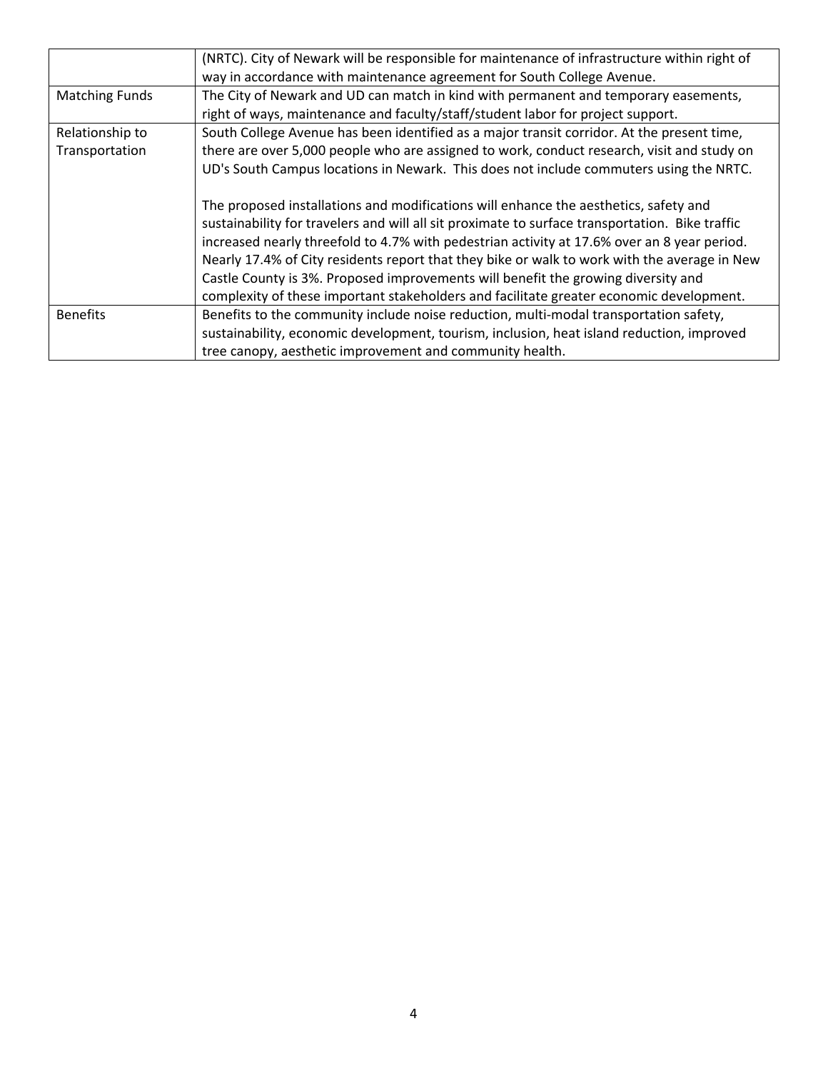|                       | (NRTC). City of Newark will be responsible for maintenance of infrastructure within right of    |
|-----------------------|-------------------------------------------------------------------------------------------------|
|                       | way in accordance with maintenance agreement for South College Avenue.                          |
| <b>Matching Funds</b> | The City of Newark and UD can match in kind with permanent and temporary easements,             |
|                       | right of ways, maintenance and faculty/staff/student labor for project support.                 |
| Relationship to       | South College Avenue has been identified as a major transit corridor. At the present time,      |
| Transportation        | there are over 5,000 people who are assigned to work, conduct research, visit and study on      |
|                       | UD's South Campus locations in Newark. This does not include commuters using the NRTC.          |
|                       | The proposed installations and modifications will enhance the aesthetics, safety and            |
|                       | sustainability for travelers and will all sit proximate to surface transportation. Bike traffic |
|                       | increased nearly threefold to 4.7% with pedestrian activity at 17.6% over an 8 year period.     |
|                       | Nearly 17.4% of City residents report that they bike or walk to work with the average in New    |
|                       | Castle County is 3%. Proposed improvements will benefit the growing diversity and               |
|                       | complexity of these important stakeholders and facilitate greater economic development.         |
| <b>Benefits</b>       | Benefits to the community include noise reduction, multi-modal transportation safety,           |
|                       | sustainability, economic development, tourism, inclusion, heat island reduction, improved       |
|                       | tree canopy, aesthetic improvement and community health.                                        |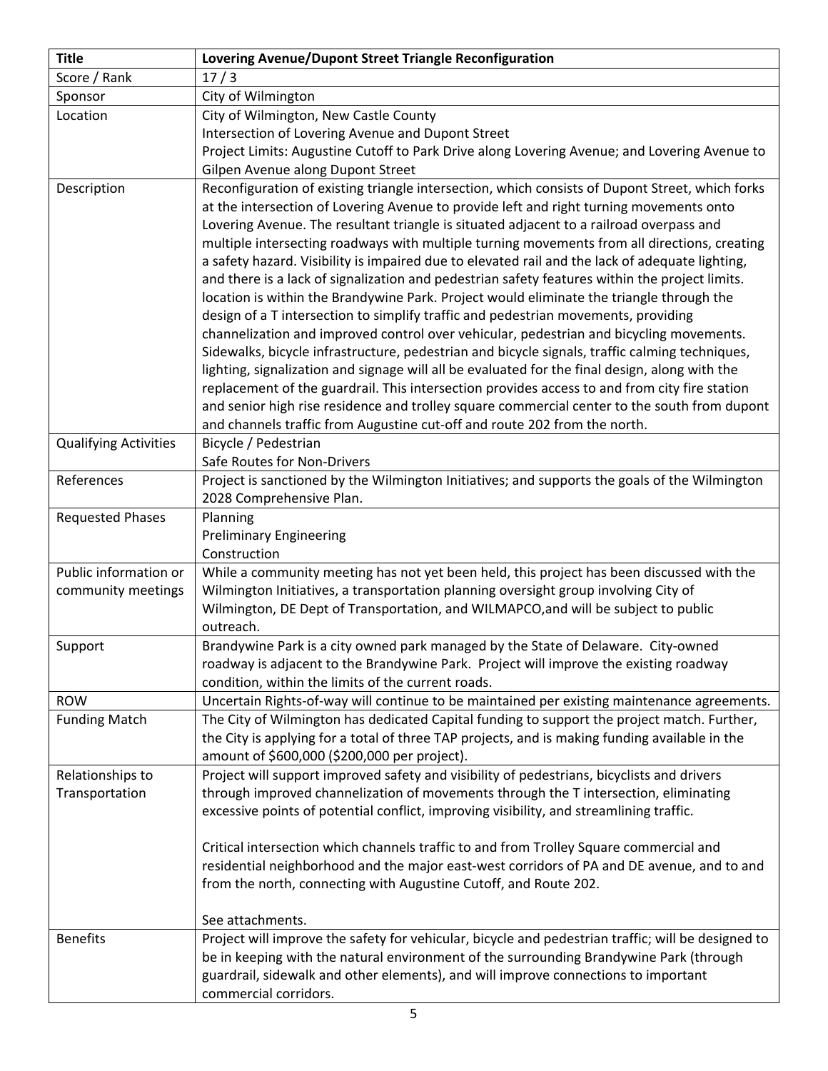| <b>Title</b>                 | Lovering Avenue/Dupont Street Triangle Reconfiguration                                                                                                                                        |
|------------------------------|-----------------------------------------------------------------------------------------------------------------------------------------------------------------------------------------------|
| Score / Rank                 | 17/3                                                                                                                                                                                          |
| Sponsor                      | City of Wilmington                                                                                                                                                                            |
| Location                     | City of Wilmington, New Castle County                                                                                                                                                         |
|                              | Intersection of Lovering Avenue and Dupont Street                                                                                                                                             |
|                              | Project Limits: Augustine Cutoff to Park Drive along Lovering Avenue; and Lovering Avenue to                                                                                                  |
|                              | Gilpen Avenue along Dupont Street                                                                                                                                                             |
| Description                  | Reconfiguration of existing triangle intersection, which consists of Dupont Street, which forks                                                                                               |
|                              | at the intersection of Lovering Avenue to provide left and right turning movements onto                                                                                                       |
|                              | Lovering Avenue. The resultant triangle is situated adjacent to a railroad overpass and                                                                                                       |
|                              | multiple intersecting roadways with multiple turning movements from all directions, creating                                                                                                  |
|                              | a safety hazard. Visibility is impaired due to elevated rail and the lack of adequate lighting,                                                                                               |
|                              | and there is a lack of signalization and pedestrian safety features within the project limits.                                                                                                |
|                              | location is within the Brandywine Park. Project would eliminate the triangle through the<br>design of a T intersection to simplify traffic and pedestrian movements, providing                |
|                              | channelization and improved control over vehicular, pedestrian and bicycling movements.                                                                                                       |
|                              | Sidewalks, bicycle infrastructure, pedestrian and bicycle signals, traffic calming techniques,                                                                                                |
|                              | lighting, signalization and signage will all be evaluated for the final design, along with the                                                                                                |
|                              | replacement of the guardrail. This intersection provides access to and from city fire station                                                                                                 |
|                              | and senior high rise residence and trolley square commercial center to the south from dupont                                                                                                  |
|                              | and channels traffic from Augustine cut-off and route 202 from the north.                                                                                                                     |
| <b>Qualifying Activities</b> | Bicycle / Pedestrian                                                                                                                                                                          |
|                              | Safe Routes for Non-Drivers                                                                                                                                                                   |
| References                   | Project is sanctioned by the Wilmington Initiatives; and supports the goals of the Wilmington                                                                                                 |
|                              | 2028 Comprehensive Plan.                                                                                                                                                                      |
| <b>Requested Phases</b>      | Planning                                                                                                                                                                                      |
|                              | <b>Preliminary Engineering</b>                                                                                                                                                                |
|                              | Construction                                                                                                                                                                                  |
| Public information or        | While a community meeting has not yet been held, this project has been discussed with the                                                                                                     |
| community meetings           | Wilmington Initiatives, a transportation planning oversight group involving City of                                                                                                           |
|                              | Wilmington, DE Dept of Transportation, and WILMAPCO, and will be subject to public                                                                                                            |
|                              | outreach.                                                                                                                                                                                     |
| Support                      | Brandywine Park is a city owned park managed by the State of Delaware. City-owned                                                                                                             |
|                              | roadway is adjacent to the Brandywine Park. Project will improve the existing roadway                                                                                                         |
| <b>ROW</b>                   | condition, within the limits of the current roads.                                                                                                                                            |
|                              | Uncertain Rights-of-way will continue to be maintained per existing maintenance agreements.                                                                                                   |
| <b>Funding Match</b>         | The City of Wilmington has dedicated Capital funding to support the project match. Further,<br>the City is applying for a total of three TAP projects, and is making funding available in the |
|                              | amount of \$600,000 (\$200,000 per project).                                                                                                                                                  |
| Relationships to             | Project will support improved safety and visibility of pedestrians, bicyclists and drivers                                                                                                    |
| Transportation               | through improved channelization of movements through the T intersection, eliminating                                                                                                          |
|                              | excessive points of potential conflict, improving visibility, and streamlining traffic.                                                                                                       |
|                              |                                                                                                                                                                                               |
|                              | Critical intersection which channels traffic to and from Trolley Square commercial and                                                                                                        |
|                              | residential neighborhood and the major east-west corridors of PA and DE avenue, and to and                                                                                                    |
|                              | from the north, connecting with Augustine Cutoff, and Route 202.                                                                                                                              |
|                              |                                                                                                                                                                                               |
|                              | See attachments.                                                                                                                                                                              |
| <b>Benefits</b>              | Project will improve the safety for vehicular, bicycle and pedestrian traffic; will be designed to                                                                                            |
|                              | be in keeping with the natural environment of the surrounding Brandywine Park (through                                                                                                        |
|                              | guardrail, sidewalk and other elements), and will improve connections to important                                                                                                            |
|                              | commercial corridors.                                                                                                                                                                         |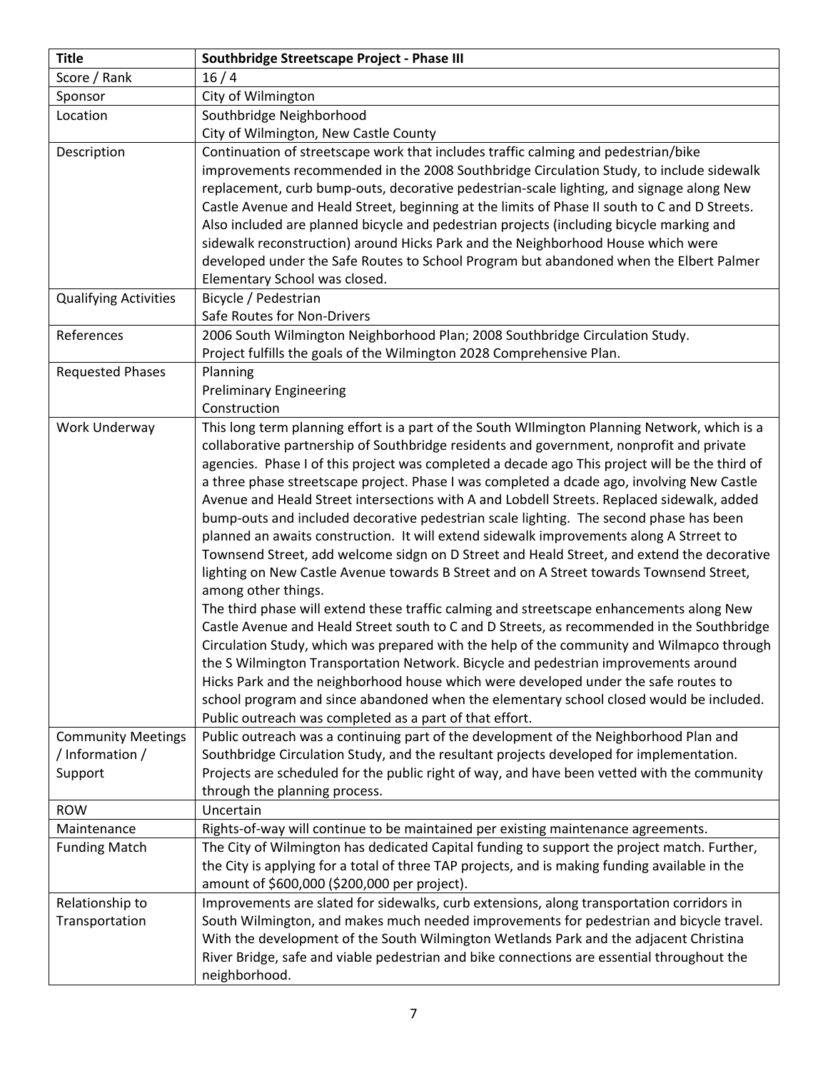| <b>Title</b>                 | Southbridge Streetscape Project - Phase III                                                                   |
|------------------------------|---------------------------------------------------------------------------------------------------------------|
| Score / Rank                 | 16/4                                                                                                          |
| Sponsor                      | City of Wilmington                                                                                            |
| Location                     | Southbridge Neighborhood                                                                                      |
|                              | City of Wilmington, New Castle County                                                                         |
| Description                  | Continuation of streetscape work that includes traffic calming and pedestrian/bike                            |
|                              | improvements recommended in the 2008 Southbridge Circulation Study, to include sidewalk                       |
|                              | replacement, curb bump-outs, decorative pedestrian-scale lighting, and signage along New                      |
|                              | Castle Avenue and Heald Street, beginning at the limits of Phase II south to C and D Streets.                 |
|                              | Also included are planned bicycle and pedestrian projects (including bicycle marking and                      |
|                              | sidewalk reconstruction) around Hicks Park and the Neighborhood House which were                              |
|                              | developed under the Safe Routes to School Program but abandoned when the Elbert Palmer                        |
|                              | Elementary School was closed.                                                                                 |
| <b>Qualifying Activities</b> | Bicycle / Pedestrian                                                                                          |
|                              | Safe Routes for Non-Drivers                                                                                   |
| References                   | 2006 South Wilmington Neighborhood Plan; 2008 Southbridge Circulation Study.                                  |
|                              | Project fulfills the goals of the Wilmington 2028 Comprehensive Plan.                                         |
| <b>Requested Phases</b>      | Planning                                                                                                      |
|                              | <b>Preliminary Engineering</b>                                                                                |
| Work Underway                | Construction<br>This long term planning effort is a part of the South WIlmington Planning Network, which is a |
|                              | collaborative partnership of Southbridge residents and government, nonprofit and private                      |
|                              | agencies. Phase I of this project was completed a decade ago This project will be the third of                |
|                              | a three phase streetscape project. Phase I was completed a dcade ago, involving New Castle                    |
|                              | Avenue and Heald Street intersections with A and Lobdell Streets. Replaced sidewalk, added                    |
|                              | bump-outs and included decorative pedestrian scale lighting. The second phase has been                        |
|                              | planned an awaits construction. It will extend sidewalk improvements along A Strreet to                       |
|                              | Townsend Street, add welcome sidgn on D Street and Heald Street, and extend the decorative                    |
|                              | lighting on New Castle Avenue towards B Street and on A Street towards Townsend Street,                       |
|                              | among other things.                                                                                           |
|                              | The third phase will extend these traffic calming and streetscape enhancements along New                      |
|                              | Castle Avenue and Heald Street south to C and D Streets, as recommended in the Southbridge                    |
|                              | Circulation Study, which was prepared with the help of the community and Wilmapco through                     |
|                              | the S Wilmington Transportation Network. Bicycle and pedestrian improvements around                           |
|                              | Hicks Park and the neighborhood house which were developed under the safe routes to                           |
|                              | school program and since abandoned when the elementary school closed would be included.                       |
|                              | Public outreach was completed as a part of that effort.                                                       |
| <b>Community Meetings</b>    | Public outreach was a continuing part of the development of the Neighborhood Plan and                         |
| / Information /              | Southbridge Circulation Study, and the resultant projects developed for implementation.                       |
| Support                      | Projects are scheduled for the public right of way, and have been vetted with the community                   |
| <b>ROW</b>                   | through the planning process.<br>Uncertain                                                                    |
| Maintenance                  | Rights-of-way will continue to be maintained per existing maintenance agreements.                             |
| <b>Funding Match</b>         | The City of Wilmington has dedicated Capital funding to support the project match. Further,                   |
|                              | the City is applying for a total of three TAP projects, and is making funding available in the                |
|                              | amount of \$600,000 (\$200,000 per project).                                                                  |
| Relationship to              | Improvements are slated for sidewalks, curb extensions, along transportation corridors in                     |
| Transportation               | South Wilmington, and makes much needed improvements for pedestrian and bicycle travel.                       |
|                              | With the development of the South Wilmington Wetlands Park and the adjacent Christina                         |
|                              | River Bridge, safe and viable pedestrian and bike connections are essential throughout the                    |
|                              | neighborhood.                                                                                                 |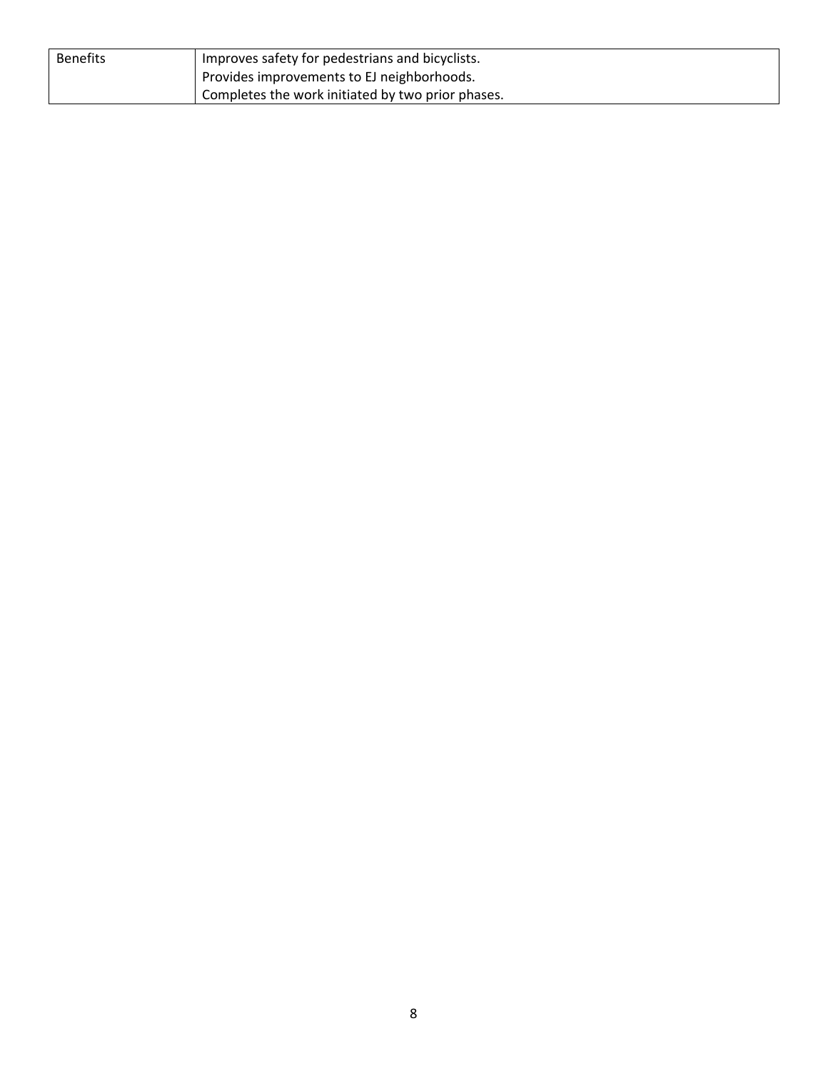| <b>Benefits</b> | 'Improves safety for pedestrians and bicyclists.  |
|-----------------|---------------------------------------------------|
|                 | Provides improvements to EJ neighborhoods.        |
|                 | Completes the work initiated by two prior phases. |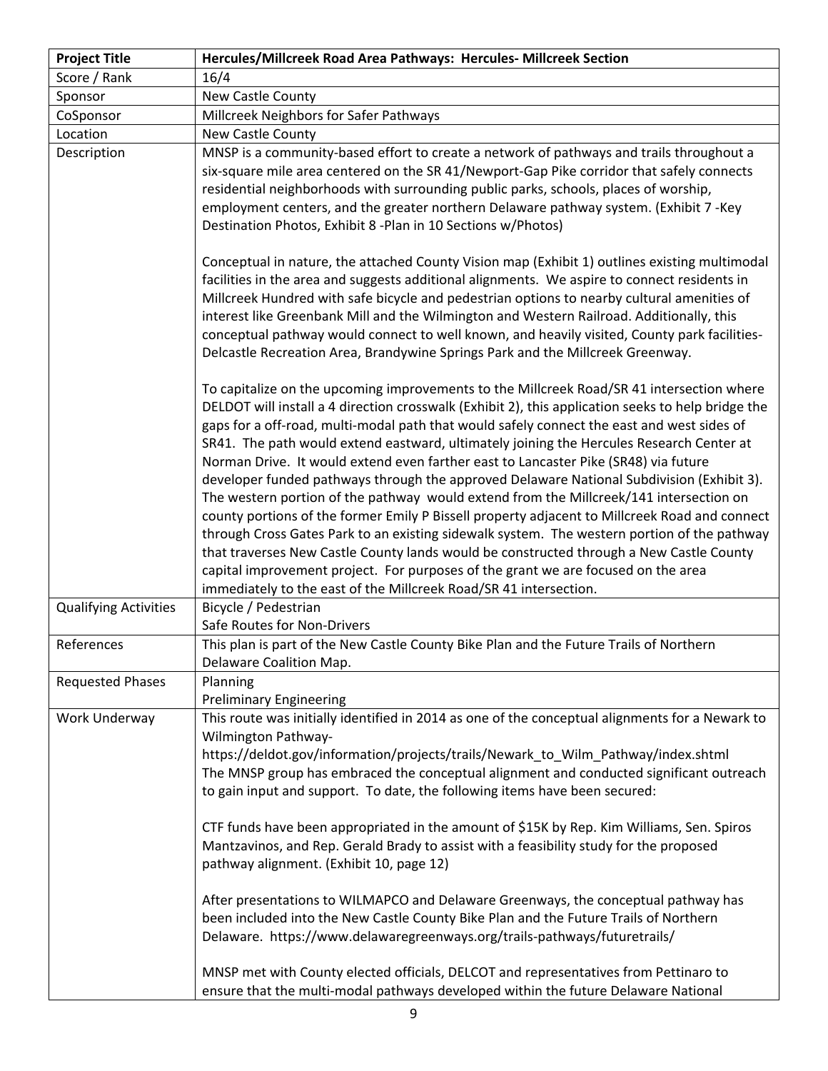| <b>Project Title</b>         | Hercules/Millcreek Road Area Pathways: Hercules- Millcreek Section                                                                                                                                                                                                                                                                                                                                                                                                                                                                                                                                                                                                                                                                                                                                                                                                                                                                                                                                                                                                                                                           |
|------------------------------|------------------------------------------------------------------------------------------------------------------------------------------------------------------------------------------------------------------------------------------------------------------------------------------------------------------------------------------------------------------------------------------------------------------------------------------------------------------------------------------------------------------------------------------------------------------------------------------------------------------------------------------------------------------------------------------------------------------------------------------------------------------------------------------------------------------------------------------------------------------------------------------------------------------------------------------------------------------------------------------------------------------------------------------------------------------------------------------------------------------------------|
| Score / Rank                 | 16/4                                                                                                                                                                                                                                                                                                                                                                                                                                                                                                                                                                                                                                                                                                                                                                                                                                                                                                                                                                                                                                                                                                                         |
| Sponsor                      | New Castle County                                                                                                                                                                                                                                                                                                                                                                                                                                                                                                                                                                                                                                                                                                                                                                                                                                                                                                                                                                                                                                                                                                            |
| CoSponsor                    | Millcreek Neighbors for Safer Pathways                                                                                                                                                                                                                                                                                                                                                                                                                                                                                                                                                                                                                                                                                                                                                                                                                                                                                                                                                                                                                                                                                       |
| Location                     | New Castle County                                                                                                                                                                                                                                                                                                                                                                                                                                                                                                                                                                                                                                                                                                                                                                                                                                                                                                                                                                                                                                                                                                            |
| Description                  | MNSP is a community-based effort to create a network of pathways and trails throughout a<br>six-square mile area centered on the SR 41/Newport-Gap Pike corridor that safely connects<br>residential neighborhoods with surrounding public parks, schools, places of worship,<br>employment centers, and the greater northern Delaware pathway system. (Exhibit 7 -Key<br>Destination Photos, Exhibit 8 - Plan in 10 Sections w/Photos)                                                                                                                                                                                                                                                                                                                                                                                                                                                                                                                                                                                                                                                                                      |
|                              | Conceptual in nature, the attached County Vision map (Exhibit 1) outlines existing multimodal<br>facilities in the area and suggests additional alignments. We aspire to connect residents in<br>Millcreek Hundred with safe bicycle and pedestrian options to nearby cultural amenities of<br>interest like Greenbank Mill and the Wilmington and Western Railroad. Additionally, this<br>conceptual pathway would connect to well known, and heavily visited, County park facilities-<br>Delcastle Recreation Area, Brandywine Springs Park and the Millcreek Greenway.                                                                                                                                                                                                                                                                                                                                                                                                                                                                                                                                                    |
|                              | To capitalize on the upcoming improvements to the Millcreek Road/SR 41 intersection where<br>DELDOT will install a 4 direction crosswalk (Exhibit 2), this application seeks to help bridge the<br>gaps for a off-road, multi-modal path that would safely connect the east and west sides of<br>SR41. The path would extend eastward, ultimately joining the Hercules Research Center at<br>Norman Drive. It would extend even farther east to Lancaster Pike (SR48) via future<br>developer funded pathways through the approved Delaware National Subdivision (Exhibit 3).<br>The western portion of the pathway would extend from the Millcreek/141 intersection on<br>county portions of the former Emily P Bissell property adjacent to Millcreek Road and connect<br>through Cross Gates Park to an existing sidewalk system. The western portion of the pathway<br>that traverses New Castle County lands would be constructed through a New Castle County<br>capital improvement project. For purposes of the grant we are focused on the area<br>immediately to the east of the Millcreek Road/SR 41 intersection. |
| <b>Qualifying Activities</b> | Bicycle / Pedestrian<br>Safe Routes for Non-Drivers                                                                                                                                                                                                                                                                                                                                                                                                                                                                                                                                                                                                                                                                                                                                                                                                                                                                                                                                                                                                                                                                          |
| References                   | This plan is part of the New Castle County Bike Plan and the Future Trails of Northern<br>Delaware Coalition Map.                                                                                                                                                                                                                                                                                                                                                                                                                                                                                                                                                                                                                                                                                                                                                                                                                                                                                                                                                                                                            |
| <b>Requested Phases</b>      | Planning<br><b>Preliminary Engineering</b>                                                                                                                                                                                                                                                                                                                                                                                                                                                                                                                                                                                                                                                                                                                                                                                                                                                                                                                                                                                                                                                                                   |
| Work Underway                | This route was initially identified in 2014 as one of the conceptual alignments for a Newark to<br>Wilmington Pathway-<br>https://deldot.gov/information/projects/trails/Newark_to_Wilm_Pathway/index.shtml<br>The MNSP group has embraced the conceptual alignment and conducted significant outreach<br>to gain input and support. To date, the following items have been secured:<br>CTF funds have been appropriated in the amount of \$15K by Rep. Kim Williams, Sen. Spiros<br>Mantzavinos, and Rep. Gerald Brady to assist with a feasibility study for the proposed<br>pathway alignment. (Exhibit 10, page 12)<br>After presentations to WILMAPCO and Delaware Greenways, the conceptual pathway has<br>been included into the New Castle County Bike Plan and the Future Trails of Northern<br>Delaware. https://www.delawaregreenways.org/trails-pathways/futuretrails/<br>MNSP met with County elected officials, DELCOT and representatives from Pettinaro to<br>ensure that the multi-modal pathways developed within the future Delaware National                                                             |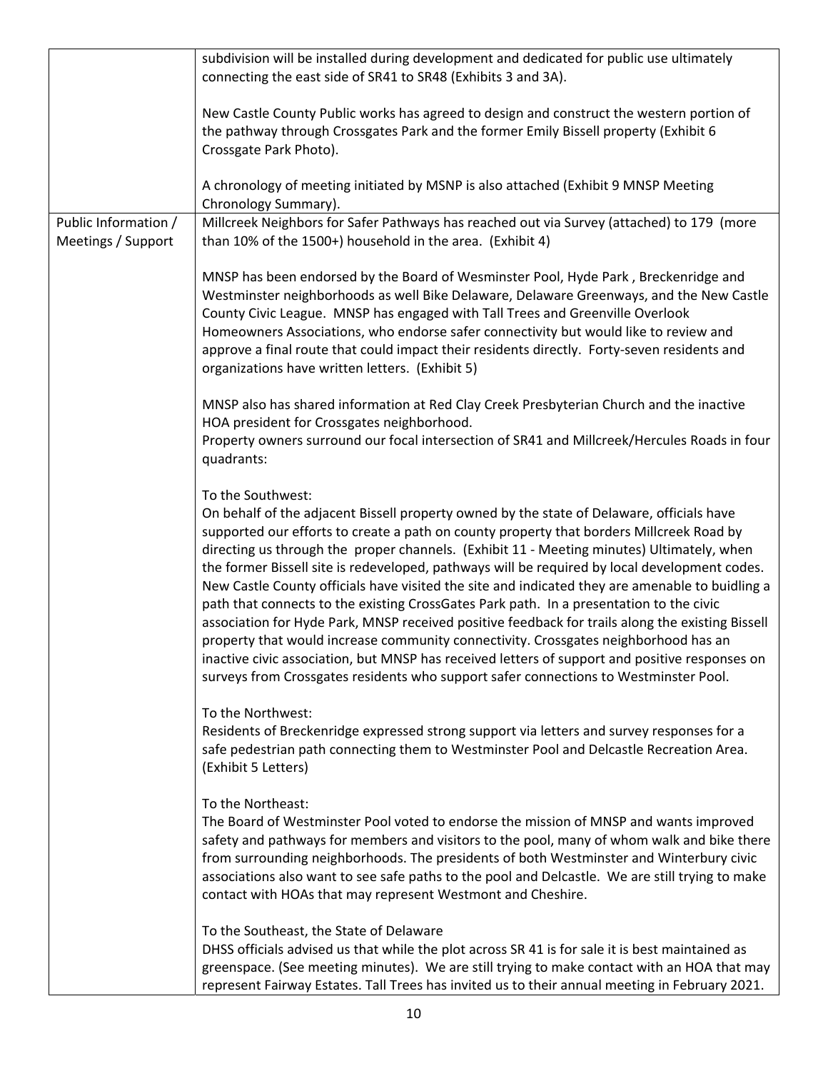|                                            | subdivision will be installed during development and dedicated for public use ultimately<br>connecting the east side of SR41 to SR48 (Exhibits 3 and 3A).                                                                                                                                                                                                                                                                                                                                                                                                                                                                                                                                                                                                                                                                                                                                                                                                                                   |
|--------------------------------------------|---------------------------------------------------------------------------------------------------------------------------------------------------------------------------------------------------------------------------------------------------------------------------------------------------------------------------------------------------------------------------------------------------------------------------------------------------------------------------------------------------------------------------------------------------------------------------------------------------------------------------------------------------------------------------------------------------------------------------------------------------------------------------------------------------------------------------------------------------------------------------------------------------------------------------------------------------------------------------------------------|
|                                            | New Castle County Public works has agreed to design and construct the western portion of<br>the pathway through Crossgates Park and the former Emily Bissell property (Exhibit 6<br>Crossgate Park Photo).                                                                                                                                                                                                                                                                                                                                                                                                                                                                                                                                                                                                                                                                                                                                                                                  |
|                                            | A chronology of meeting initiated by MSNP is also attached (Exhibit 9 MNSP Meeting<br>Chronology Summary).                                                                                                                                                                                                                                                                                                                                                                                                                                                                                                                                                                                                                                                                                                                                                                                                                                                                                  |
| Public Information /<br>Meetings / Support | Millcreek Neighbors for Safer Pathways has reached out via Survey (attached) to 179 (more<br>than 10% of the 1500+) household in the area. (Exhibit 4)                                                                                                                                                                                                                                                                                                                                                                                                                                                                                                                                                                                                                                                                                                                                                                                                                                      |
|                                            | MNSP has been endorsed by the Board of Wesminster Pool, Hyde Park, Breckenridge and<br>Westminster neighborhoods as well Bike Delaware, Delaware Greenways, and the New Castle<br>County Civic League. MNSP has engaged with Tall Trees and Greenville Overlook<br>Homeowners Associations, who endorse safer connectivity but would like to review and<br>approve a final route that could impact their residents directly. Forty-seven residents and<br>organizations have written letters. (Exhibit 5)                                                                                                                                                                                                                                                                                                                                                                                                                                                                                   |
|                                            | MNSP also has shared information at Red Clay Creek Presbyterian Church and the inactive<br>HOA president for Crossgates neighborhood.<br>Property owners surround our focal intersection of SR41 and Millcreek/Hercules Roads in four<br>quadrants:                                                                                                                                                                                                                                                                                                                                                                                                                                                                                                                                                                                                                                                                                                                                         |
|                                            | To the Southwest:<br>On behalf of the adjacent Bissell property owned by the state of Delaware, officials have<br>supported our efforts to create a path on county property that borders Millcreek Road by<br>directing us through the proper channels. (Exhibit 11 - Meeting minutes) Ultimately, when<br>the former Bissell site is redeveloped, pathways will be required by local development codes.<br>New Castle County officials have visited the site and indicated they are amenable to buidling a<br>path that connects to the existing CrossGates Park path. In a presentation to the civic<br>association for Hyde Park, MNSP received positive feedback for trails along the existing Bissell<br>property that would increase community connectivity. Crossgates neighborhood has an<br>inactive civic association, but MNSP has received letters of support and positive responses on<br>surveys from Crossgates residents who support safer connections to Westminster Pool. |
|                                            | To the Northwest:<br>Residents of Breckenridge expressed strong support via letters and survey responses for a<br>safe pedestrian path connecting them to Westminster Pool and Delcastle Recreation Area.<br>(Exhibit 5 Letters)                                                                                                                                                                                                                                                                                                                                                                                                                                                                                                                                                                                                                                                                                                                                                            |
|                                            | To the Northeast:<br>The Board of Westminster Pool voted to endorse the mission of MNSP and wants improved<br>safety and pathways for members and visitors to the pool, many of whom walk and bike there<br>from surrounding neighborhoods. The presidents of both Westminster and Winterbury civic<br>associations also want to see safe paths to the pool and Delcastle. We are still trying to make<br>contact with HOAs that may represent Westmont and Cheshire.                                                                                                                                                                                                                                                                                                                                                                                                                                                                                                                       |
|                                            | To the Southeast, the State of Delaware<br>DHSS officials advised us that while the plot across SR 41 is for sale it is best maintained as<br>greenspace. (See meeting minutes). We are still trying to make contact with an HOA that may<br>represent Fairway Estates. Tall Trees has invited us to their annual meeting in February 2021.                                                                                                                                                                                                                                                                                                                                                                                                                                                                                                                                                                                                                                                 |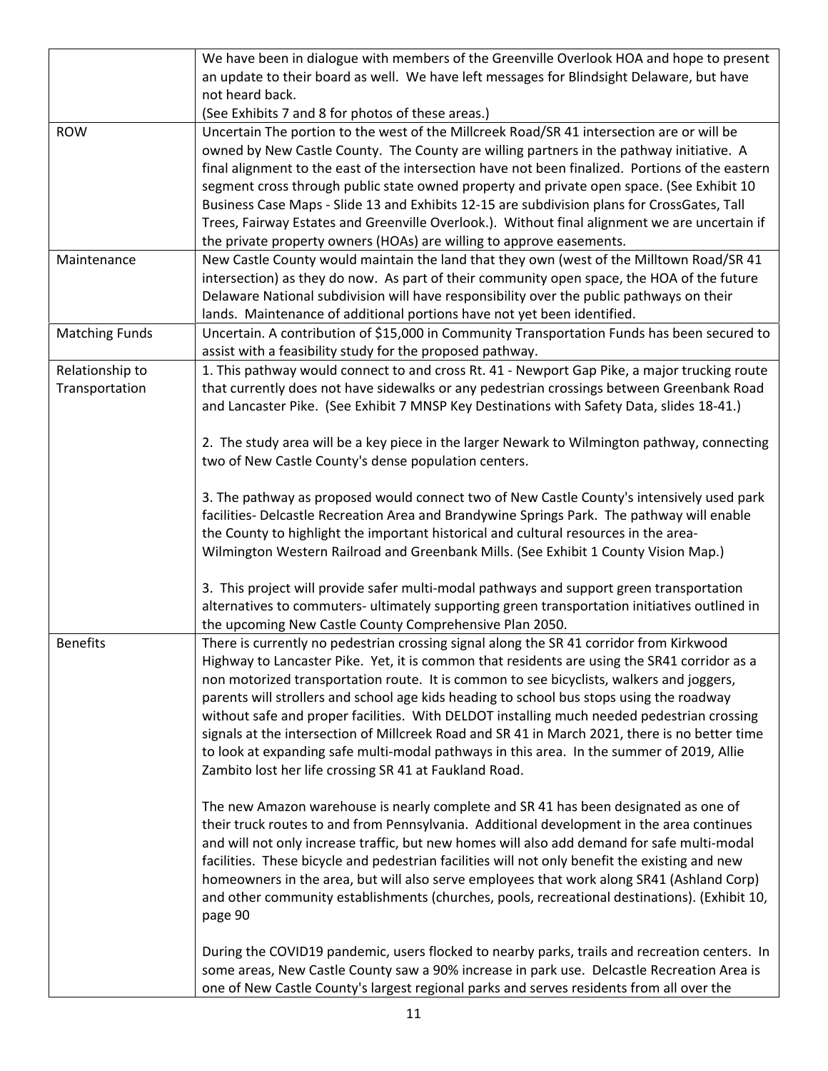|                       | We have been in dialogue with members of the Greenville Overlook HOA and hope to present         |
|-----------------------|--------------------------------------------------------------------------------------------------|
|                       |                                                                                                  |
|                       | an update to their board as well. We have left messages for Blindsight Delaware, but have        |
|                       | not heard back.                                                                                  |
|                       | (See Exhibits 7 and 8 for photos of these areas.)                                                |
| <b>ROW</b>            | Uncertain The portion to the west of the Millcreek Road/SR 41 intersection are or will be        |
|                       | owned by New Castle County. The County are willing partners in the pathway initiative. A         |
|                       | final alignment to the east of the intersection have not been finalized. Portions of the eastern |
|                       | segment cross through public state owned property and private open space. (See Exhibit 10        |
|                       | Business Case Maps - Slide 13 and Exhibits 12-15 are subdivision plans for CrossGates, Tall      |
|                       | Trees, Fairway Estates and Greenville Overlook.). Without final alignment we are uncertain if    |
|                       | the private property owners (HOAs) are willing to approve easements.                             |
|                       |                                                                                                  |
| Maintenance           | New Castle County would maintain the land that they own (west of the Milltown Road/SR 41         |
|                       | intersection) as they do now. As part of their community open space, the HOA of the future       |
|                       | Delaware National subdivision will have responsibility over the public pathways on their         |
|                       | lands. Maintenance of additional portions have not yet been identified.                          |
| <b>Matching Funds</b> | Uncertain. A contribution of \$15,000 in Community Transportation Funds has been secured to      |
|                       | assist with a feasibility study for the proposed pathway.                                        |
| Relationship to       | 1. This pathway would connect to and cross Rt. 41 - Newport Gap Pike, a major trucking route     |
| Transportation        | that currently does not have sidewalks or any pedestrian crossings between Greenbank Road        |
|                       | and Lancaster Pike. (See Exhibit 7 MNSP Key Destinations with Safety Data, slides 18-41.)        |
|                       |                                                                                                  |
|                       | 2. The study area will be a key piece in the larger Newark to Wilmington pathway, connecting     |
|                       | two of New Castle County's dense population centers.                                             |
|                       |                                                                                                  |
|                       |                                                                                                  |
|                       | 3. The pathway as proposed would connect two of New Castle County's intensively used park        |
|                       | facilities- Delcastle Recreation Area and Brandywine Springs Park. The pathway will enable       |
|                       | the County to highlight the important historical and cultural resources in the area-             |
|                       | Wilmington Western Railroad and Greenbank Mills. (See Exhibit 1 County Vision Map.)              |
|                       |                                                                                                  |
|                       | 3. This project will provide safer multi-modal pathways and support green transportation         |
|                       | alternatives to commuters- ultimately supporting green transportation initiatives outlined in    |
|                       | the upcoming New Castle County Comprehensive Plan 2050.                                          |
| <b>Benefits</b>       | There is currently no pedestrian crossing signal along the SR 41 corridor from Kirkwood          |
|                       | Highway to Lancaster Pike. Yet, it is common that residents are using the SR41 corridor as a     |
|                       | non motorized transportation route. It is common to see bicyclists, walkers and joggers,         |
|                       | parents will strollers and school age kids heading to school bus stops using the roadway         |
|                       |                                                                                                  |
|                       | without safe and proper facilities. With DELDOT installing much needed pedestrian crossing       |
|                       | signals at the intersection of Millcreek Road and SR 41 in March 2021, there is no better time   |
|                       | to look at expanding safe multi-modal pathways in this area. In the summer of 2019, Allie        |
|                       | Zambito lost her life crossing SR 41 at Faukland Road.                                           |
|                       |                                                                                                  |
|                       | The new Amazon warehouse is nearly complete and SR 41 has been designated as one of              |
|                       | their truck routes to and from Pennsylvania. Additional development in the area continues        |
|                       | and will not only increase traffic, but new homes will also add demand for safe multi-modal      |
|                       | facilities. These bicycle and pedestrian facilities will not only benefit the existing and new   |
|                       | homeowners in the area, but will also serve employees that work along SR41 (Ashland Corp)        |
|                       | and other community establishments (churches, pools, recreational destinations). (Exhibit 10,    |
|                       | page 90                                                                                          |
|                       |                                                                                                  |
|                       | During the COVID19 pandemic, users flocked to nearby parks, trails and recreation centers. In    |
|                       |                                                                                                  |
|                       | some areas, New Castle County saw a 90% increase in park use. Delcastle Recreation Area is       |
|                       | one of New Castle County's largest regional parks and serves residents from all over the         |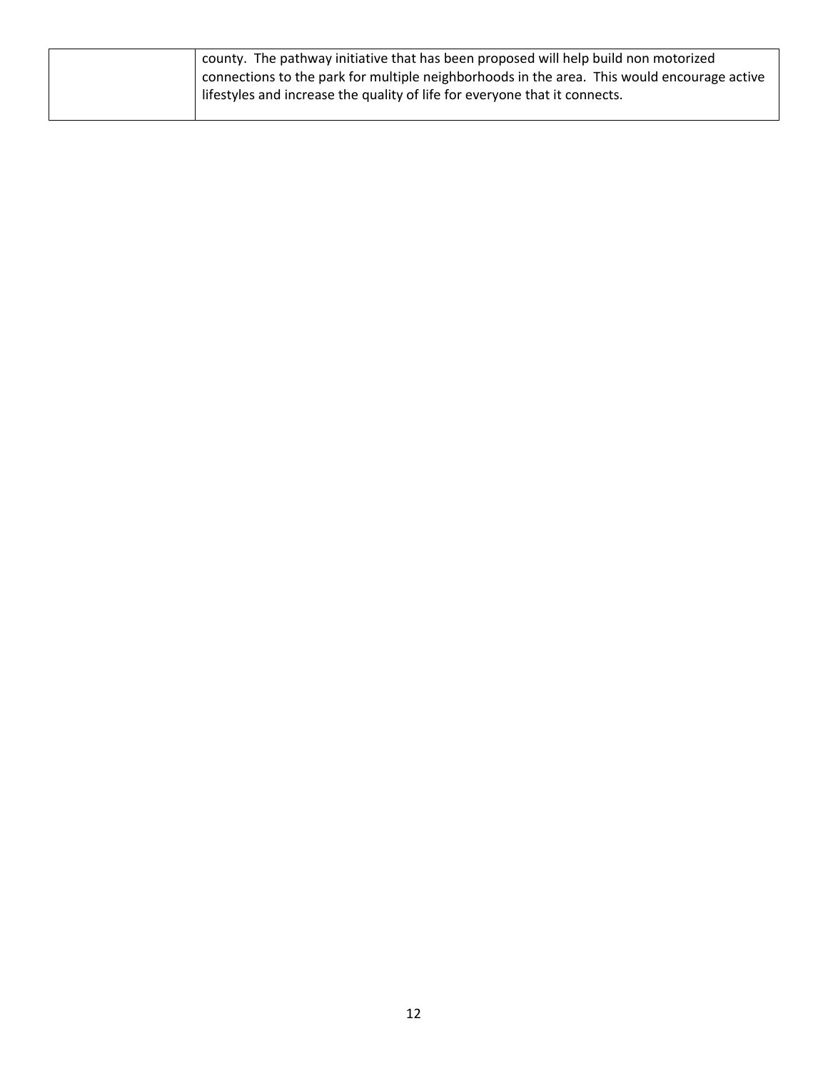| county. The pathway initiative that has been proposed will help build non motorized         |
|---------------------------------------------------------------------------------------------|
| connections to the park for multiple neighborhoods in the area. This would encourage active |
| lifestyles and increase the quality of life for everyone that it connects.                  |
|                                                                                             |